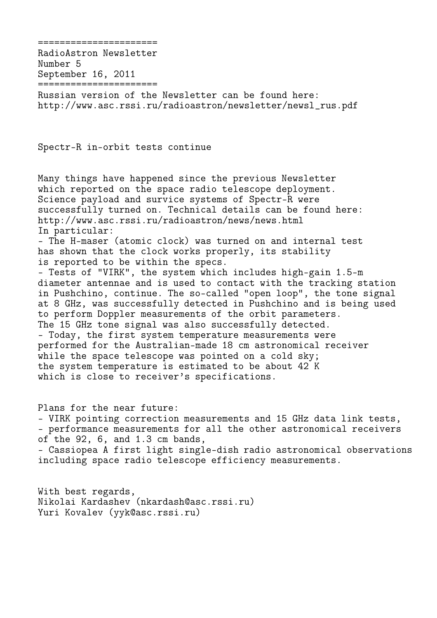RadioAstron Newsletter Number 5 September 16, 2011 ======================

======================

Russian version of the Newsletter can be found here: http://www.asc.rssi.ru/radioastron/newsletter/newsl\_rus.pdf

Spectr-R in-orbit tests continue

Many things have happened since the previous Newsletter which reported on the space radio telescope deployment. Science payload and survice systems of Spectr-R were successfully turned on. Technical details can be found here: http://www.asc.rssi.ru/radioastron/news/news.html In particular: - The H-maser (atomic clock) was turned on and internal test has shown that the clock works properly, its stability is reported to be within the specs. - Tests of "VIRK", the system which includes high-gain 1.5-m diameter antennae and is used to contact with the tracking station in Pushchino, continue. The so-called "open loop", the tone signal at 8 GHz, was successfully detected in Pushchino and is being used to perform Doppler measurements of the orbit parameters. The 15 GHz tone signal was also successfully detected. - Today, the first system temperature measurements were performed for the Australian-made 18 cm astronomical receiver while the space telescope was pointed on a cold sky; the system temperature is estimated to be about 42 K which is close to receiver's specifications.

Plans for the near future: - VIRK pointing correction measurements and 15 GHz data link tests, - performance measurements for all the other astronomical receivers of the 92, 6, and 1.3 cm bands, - Cassiopea A first light single-dish radio astronomical observations including space radio telescope efficiency measurements.

With best regards, Nikolai Kardashev (nkardash@asc.rssi.ru) Yuri Kovalev (yyk@asc.rssi.ru)